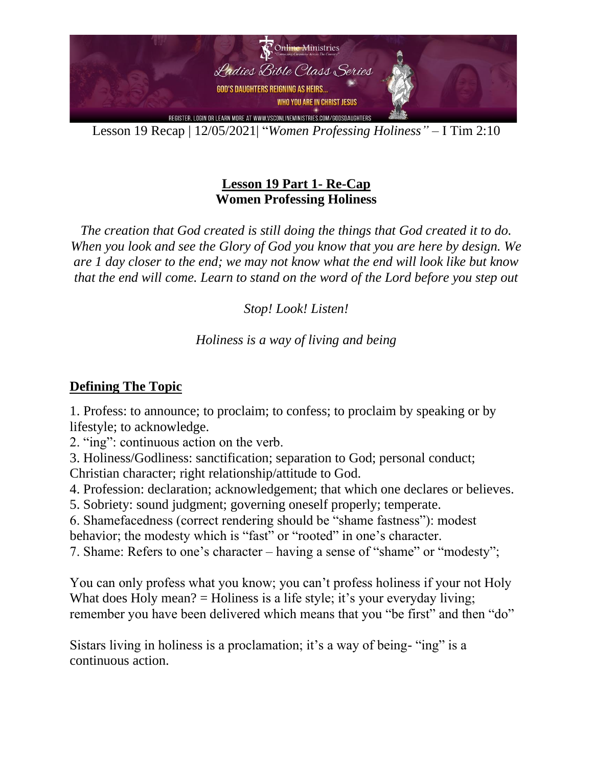

Lesson 19 Recap | 12/05/2021| "*Women Professing Holiness"* – I Tim 2:10

### **Lesson 19 Part 1- Re-Cap Women Professing Holiness**

*The creation that God created is still doing the things that God created it to do. When you look and see the Glory of God you know that you are here by design. We are 1 day closer to the end; we may not know what the end will look like but know that the end will come. Learn to stand on the word of the Lord before you step out*

*Stop! Look! Listen!* 

### *Holiness is a way of living and being*

### **Defining The Topic**

1. Profess: to announce; to proclaim; to confess; to proclaim by speaking or by lifestyle; to acknowledge.

2. "ing": continuous action on the verb.

3. Holiness/Godliness: sanctification; separation to God; personal conduct; Christian character; right relationship/attitude to God.

4. Profession: declaration; acknowledgement; that which one declares or believes.

5. Sobriety: sound judgment; governing oneself properly; temperate.

6. Shamefacedness (correct rendering should be "shame fastness"): modest behavior; the modesty which is "fast" or "rooted" in one's character.

7. Shame: Refers to one's character – having a sense of "shame" or "modesty";

You can only profess what you know; you can't profess holiness if your not Holy What does Holy mean?  $=$  Holiness is a life style; it's your everyday living; remember you have been delivered which means that you "be first" and then "do"

Sistars living in holiness is a proclamation; it's a way of being- "ing" is a continuous action.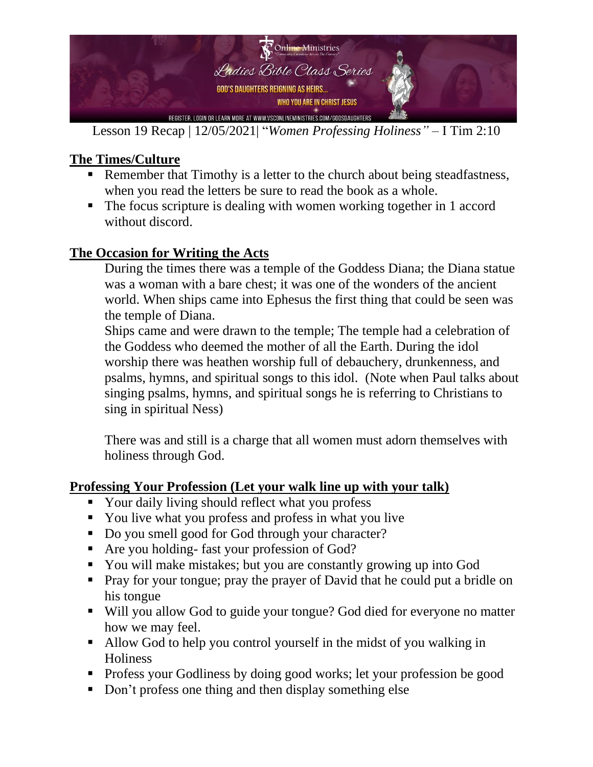

Lesson 19 Recap | 12/05/2021| "*Women Professing Holiness"* – I Tim 2:10

# **The Times/Culture**

- Remember that Timothy is a letter to the church about being steadfastness, when you read the letters be sure to read the book as a whole.
- The focus scripture is dealing with women working together in 1 accord without discord.

## **The Occasion for Writing the Acts**

During the times there was a temple of the Goddess Diana; the Diana statue was a woman with a bare chest; it was one of the wonders of the ancient world. When ships came into Ephesus the first thing that could be seen was the temple of Diana.

Ships came and were drawn to the temple; The temple had a celebration of the Goddess who deemed the mother of all the Earth. During the idol worship there was heathen worship full of debauchery, drunkenness, and psalms, hymns, and spiritual songs to this idol. (Note when Paul talks about singing psalms, hymns, and spiritual songs he is referring to Christians to sing in spiritual Ness)

There was and still is a charge that all women must adorn themselves with holiness through God.

### **Professing Your Profession (Let your walk line up with your talk)**

- Your daily living should reflect what you profess
- You live what you profess and profess in what you live
- Do you smell good for God through your character?
- Are you holding- fast your profession of God?
- You will make mistakes; but you are constantly growing up into God
- Pray for your tongue; pray the prayer of David that he could put a bridle on his tongue
- Will you allow God to guide your tongue? God died for everyone no matter how we may feel.
- Allow God to help you control yourself in the midst of you walking in **Holiness**
- Profess your Godliness by doing good works; let your profession be good
- Don't profess one thing and then display something else